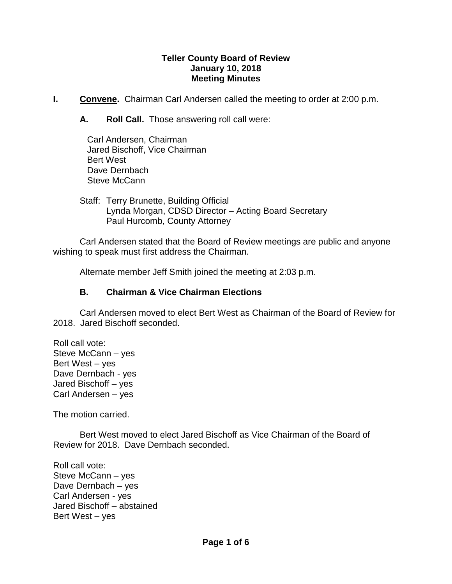#### **Teller County Board of Review January 10, 2018 Meeting Minutes**

- **I.** Convene. Chairman Carl Andersen called the meeting to order at 2:00 p.m.
	- **A. Roll Call.** Those answering roll call were:

| Carl Andersen, Chairman |                               |
|-------------------------|-------------------------------|
|                         | Jared Bischoff, Vice Chairman |
| <b>Bert West</b>        |                               |
| Dave Dernbach           |                               |
| Steve McCann            |                               |

Staff: Terry Brunette, Building Official Lynda Morgan, CDSD Director – Acting Board Secretary Paul Hurcomb, County Attorney

Carl Andersen stated that the Board of Review meetings are public and anyone wishing to speak must first address the Chairman.

Alternate member Jeff Smith joined the meeting at 2:03 p.m.

# **B. Chairman & Vice Chairman Elections**

Carl Andersen moved to elect Bert West as Chairman of the Board of Review for 2018. Jared Bischoff seconded.

Roll call vote: Steve McCann – yes Bert West – yes Dave Dernbach - yes Jared Bischoff – yes Carl Andersen – yes

The motion carried.

Bert West moved to elect Jared Bischoff as Vice Chairman of the Board of Review for 2018. Dave Dernbach seconded.

Roll call vote: Steve McCann – yes Dave Dernbach – yes Carl Andersen - yes Jared Bischoff – abstained Bert West – yes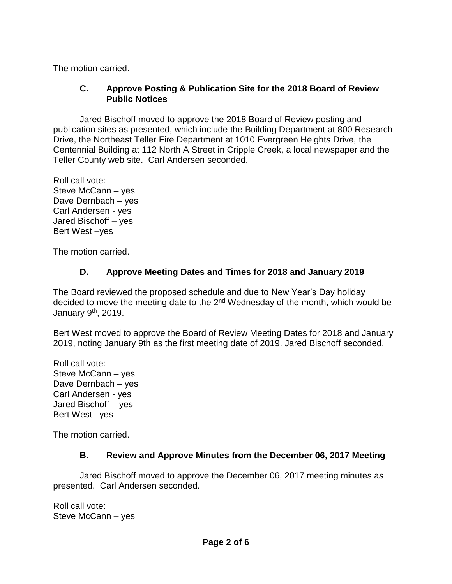The motion carried.

## **C. Approve Posting & Publication Site for the 2018 Board of Review Public Notices**

Jared Bischoff moved to approve the 2018 Board of Review posting and publication sites as presented, which include the Building Department at 800 Research Drive, the Northeast Teller Fire Department at 1010 Evergreen Heights Drive, the Centennial Building at 112 North A Street in Cripple Creek, a local newspaper and the Teller County web site. Carl Andersen seconded.

Roll call vote: Steve McCann – yes Dave Dernbach – yes Carl Andersen - yes Jared Bischoff – yes Bert West –yes

The motion carried.

# **D. Approve Meeting Dates and Times for 2018 and January 2019**

The Board reviewed the proposed schedule and due to New Year's Day holiday decided to move the meeting date to the 2<sup>nd</sup> Wednesday of the month, which would be January 9th, 2019.

Bert West moved to approve the Board of Review Meeting Dates for 2018 and January 2019, noting January 9th as the first meeting date of 2019. Jared Bischoff seconded.

Roll call vote: Steve McCann – yes Dave Dernbach – yes Carl Andersen - yes Jared Bischoff – yes Bert West –yes

The motion carried.

# **B. Review and Approve Minutes from the December 06, 2017 Meeting**

Jared Bischoff moved to approve the December 06, 2017 meeting minutes as presented. Carl Andersen seconded.

Roll call vote: Steve McCann – yes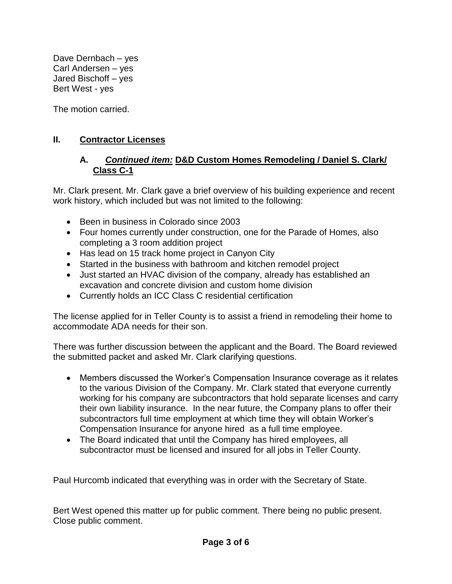Dave Dernbach – yes Carl Andersen – yes Jared Bischoff – yes Bert West - yes

The motion carried.

## **II. Contractor Licenses**

#### **A.** *Continued item:* **D&D Custom Homes Remodeling / Daniel S. Clark/ Class C-1**

Mr. Clark present. Mr. Clark gave a brief overview of his building experience and recent work history, which included but was not limited to the following:

- Been in business in Colorado since 2003
- Four homes currently under construction, one for the Parade of Homes, also completing a 3 room addition project
- Has lead on 15 track home project in Canyon City
- Started in the business with bathroom and kitchen remodel project
- Just started an HVAC division of the company, already has established an excavation and concrete division and custom home division
- Currently holds an ICC Class C residential certification

The license applied for in Teller County is to assist a friend in remodeling their home to accommodate ADA needs for their son.

There was further discussion between the applicant and the Board. The Board reviewed the submitted packet and asked Mr. Clark clarifying questions.

- Members discussed the Worker's Compensation Insurance coverage as it relates to the various Division of the Company. Mr. Clark stated that everyone currently working for his company are subcontractors that hold separate licenses and carry their own liability insurance. In the near future, the Company plans to offer their subcontractors full time employment at which time they will obtain Worker's Compensation Insurance for anyone hired as a full time employee.
- The Board indicated that until the Company has hired employees, all subcontractor must be licensed and insured for all jobs in Teller County.

Paul Hurcomb indicated that everything was in order with the Secretary of State.

Bert West opened this matter up for public comment. There being no public present. Close public comment.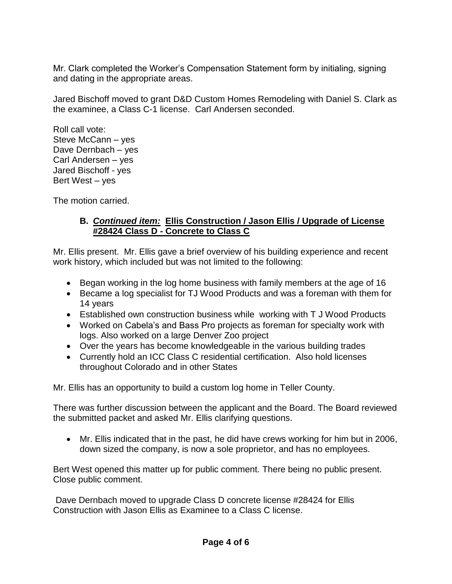Mr. Clark completed the Worker's Compensation Statement form by initialing, signing and dating in the appropriate areas.

Jared Bischoff moved to grant D&D Custom Homes Remodeling with Daniel S. Clark as the examinee, a Class C-1 license. Carl Andersen seconded.

Roll call vote: Steve McCann – yes Dave Dernbach – yes Carl Andersen – yes Jared Bischoff - yes Bert West – yes

The motion carried.

## **B.** *Continued item:* **Ellis Construction / Jason Ellis / Upgrade of License #28424 Class D - Concrete to Class C**

Mr. Ellis present. Mr. Ellis gave a brief overview of his building experience and recent work history, which included but was not limited to the following:

- Began working in the log home business with family members at the age of 16
- Became a log specialist for TJ Wood Products and was a foreman with them for 14 years
- Established own construction business while working with T J Wood Products
- Worked on Cabela's and Bass Pro projects as foreman for specialty work with logs. Also worked on a large Denver Zoo project
- Over the years has become knowledgeable in the various building trades
- Currently hold an ICC Class C residential certification. Also hold licenses throughout Colorado and in other States

Mr. Ellis has an opportunity to build a custom log home in Teller County.

There was further discussion between the applicant and the Board. The Board reviewed the submitted packet and asked Mr. Ellis clarifying questions.

 Mr. Ellis indicated that in the past, he did have crews working for him but in 2006, down sized the company, is now a sole proprietor, and has no employees.

Bert West opened this matter up for public comment. There being no public present. Close public comment.

Dave Dernbach moved to upgrade Class D concrete license #28424 for Ellis Construction with Jason Ellis as Examinee to a Class C license.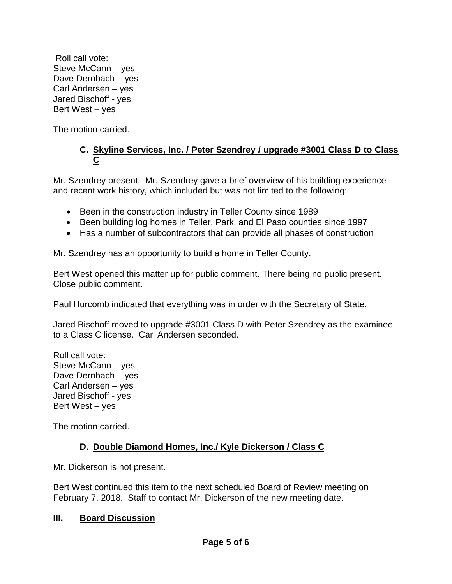Roll call vote: Steve McCann – yes Dave Dernbach – yes Carl Andersen – yes Jared Bischoff - yes Bert West – yes

The motion carried.

# **C. Skyline Services, Inc. / Peter Szendrey / upgrade #3001 Class D to Class C**

Mr. Szendrey present. Mr. Szendrey gave a brief overview of his building experience and recent work history, which included but was not limited to the following:

- Been in the construction industry in Teller County since 1989
- Been building log homes in Teller, Park, and El Paso counties since 1997
- Has a number of subcontractors that can provide all phases of construction

Mr. Szendrey has an opportunity to build a home in Teller County.

Bert West opened this matter up for public comment. There being no public present. Close public comment.

Paul Hurcomb indicated that everything was in order with the Secretary of State.

Jared Bischoff moved to upgrade #3001 Class D with Peter Szendrey as the examinee to a Class C license. Carl Andersen seconded.

Roll call vote: Steve McCann – yes Dave Dernbach – yes Carl Andersen – yes Jared Bischoff - yes Bert West – yes

The motion carried.

# **D. Double Diamond Homes, Inc./ Kyle Dickerson / Class C**

Mr. Dickerson is not present.

Bert West continued this item to the next scheduled Board of Review meeting on February 7, 2018. Staff to contact Mr. Dickerson of the new meeting date.

### **III. Board Discussion**